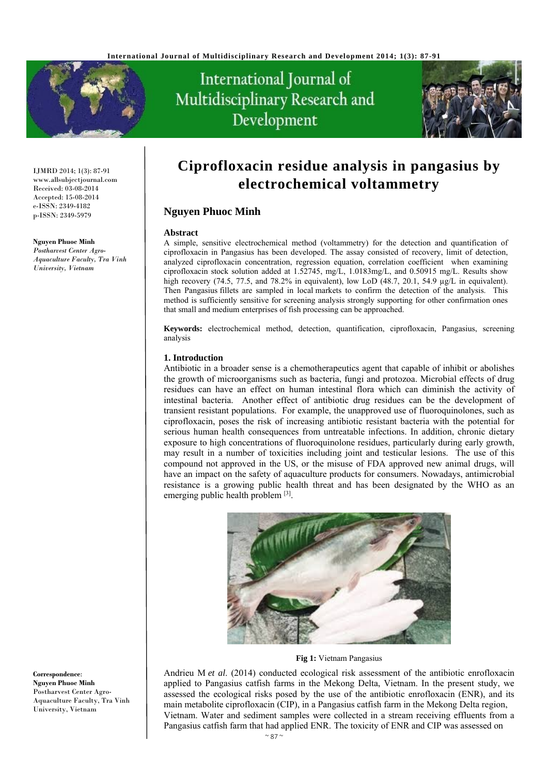

# International Journal of Multidisciplinary Research and Development



IJMRD 2014; 1(3): 87-91 www.allsubjectjournal.com Received: 03-08-2014 Accepted: 15-08-2014 e-ISSN: 2349-4182 p-ISSN: 2349-5979

#### **Nguyen Phuoc Minh**

*Postharvest Center Agro-Aquaculture Faculty, Tra Vinh University, Vietnam* 

**Ciprofloxacin residue analysis in pangasius by electrochemical voltammetry** 

# **Nguyen Phuoc Minh**

#### **Abstract**

A simple, sensitive electrochemical method (voltammetry) for the detection and quantification of ciprofloxacin in Pangasius has been developed. The assay consisted of recovery, limit of detection, analyzed ciprofloxacin concentration, regression equation, correlation coefficient when examining ciprofloxacin stock solution added at 1.52745, mg/L, 1.0183mg/L, and 0.50915 mg/L. Results show high recovery (74.5, 77.5, and 78.2% in equivalent), low LoD (48.7, 20.1, 54.9 µg/L in equivalent). Then Pangasius fillets are sampled in local markets to confirm the detection of the analysis. This method is sufficiently sensitive for screening analysis strongly supporting for other confirmation ones that small and medium enterprises of fish processing can be approached.

**Keywords:** electrochemical method, detection, quantification, ciprofloxacin, Pangasius, screening analysis

# **1. Introduction**

Antibiotic in a broader sense is a chemotherapeutics agent that capable of inhibit or abolishes the growth of microorganisms such as bacteria, fungi and protozoa. Microbial effects of drug residues can have an effect on human intestinal flora which can diminish the activity of intestinal bacteria. Another effect of antibiotic drug residues can be the development of transient resistant populations. For example, the unapproved use of fluoroquinolones, such as ciprofloxacin, poses the risk of increasing antibiotic resistant bacteria with the potential for serious human health consequences from untreatable infections. In addition, chronic dietary exposure to high concentrations of fluoroquinolone residues, particularly during early growth, may result in a number of toxicities including joint and testicular lesions. The use of this compound not approved in the US, or the misuse of FDA approved new animal drugs, will have an impact on the safety of aquaculture products for consumers. Nowadays, antimicrobial resistance is a growing public health threat and has been designated by the WHO as an emerging public health problem [3].



#### **Fig 1:** Vietnam Pangasius

Andrieu M *et al*. (2014) conducted ecological risk assessment of the antibiotic enrofloxacin applied to Pangasius catfish farms in the Mekong Delta, Vietnam. In the present study, we assessed the ecological risks posed by the use of the antibiotic enrofloxacin (ENR), and its main metabolite ciprofloxacin (CIP), in a Pangasius catfish farm in the Mekong Delta region, Vietnam. Water and sediment samples were collected in a stream receiving effluents from a Pangasius catfish farm that had applied ENR. The toxicity of ENR and CIP was assessed on

**Correspondence**: **Nguyen Phuoc Minh**  Postharvest Center Agro-Aquaculture Faculty, Tra Vinh University, Vietnam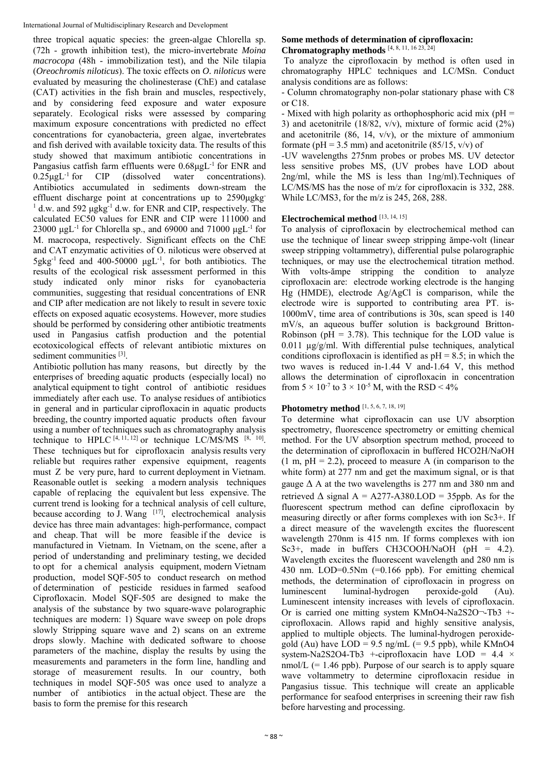three tropical aquatic species: the green-algae Chlorella sp. (72h - growth inhibition test), the micro-invertebrate *Moina macrocopa* (48h - immobilization test), and the Nile tilapia (*Oreochromis niloticus*). The toxic effects on *O. niloticus* were evaluated by measuring the cholinesterase (ChE) and catalase (CAT) activities in the fish brain and muscles, respectively, and by considering feed exposure and water exposure separately. Ecological risks were assessed by comparing maximum exposure concentrations with predicted no effect concentrations for cyanobacteria, green algae, invertebrates and fish derived with available toxicity data. The results of this study showed that maximum antibiotic concentrations in Pangasius catfish farm effluents were 0.68μgL-1 for ENR and  $0.25\mu gL^{-1}$  for CIP (dissolved water concentrations). Antibiotics accumulated in sediments down-stream the effluent discharge point at concentrations up to 2590μgkg-<sup>1</sup> d.w. and 592 μgkg<sup>-1</sup> d.w. for ENR and CIP, respectively. The calculated EC50 values for ENR and CIP were 111000 and 23000 μgL<sup>-1</sup> for Chlorella sp., and 69000 and 71000 μgL<sup>-1</sup> for M. macrocopa, respectively. Significant effects on the ChE and CAT enzymatic activities of O. niloticus were observed at  $5gkg^{-1}$  feed and 400-50000  $\mu gL^{-1}$ , for both antibiotics. The results of the ecological risk assessment performed in this study indicated only minor risks for cyanobacteria communities, suggesting that residual concentrations of ENR and CIP after medication are not likely to result in severe toxic effects on exposed aquatic ecosystems. However, more studies should be performed by considering other antibiotic treatments used in Pangasius catfish production and the potential ecotoxicological effects of relevant antibiotic mixtures on sediment communities [3].

Antibiotic pollution has many reasons, but directly by the enterprises of breeding aquatic products (especially local) no analytical equipment to tight control of antibiotic residues immediately after each use. To analyse residues of antibiotics in general and in particular ciprofloxacin in aquatic products breeding, the country imported aquatic products often favour using a number of techniques such as chromatography analysis technique to HPLC  $[4, 11, 12]$  or technique LC/MS/MS  $[8, 10]$ . These techniques but for ciprofloxacin analysis results very reliable but requires rather expensive equipment, reagents must Z be very pure, hard to current deployment in Vietnam. Reasonable outlet is seeking a modern analysis techniques capable of replacing the equivalent but less expensive. The current trend is looking for a technical analysis of cell culture, because according to J. Wang  $[17]$ , electrochemical analysis device has three main advantages: high-performance, compact and cheap. That will be more feasible if the device is manufactured in Vietnam. In Vietnam, on the scene, after a period of understanding and preliminary testing, we decided to opt for a chemical analysis equipment, modern Vietnam production, model SQF-505 to conduct research on method of determination of pesticide residues in farmed seafood Ciprofloxacin. Model SQF-505 are designed to make the analysis of the substance by two square-wave polarographic techniques are modern: 1) Square wave sweep on pole drops slowly Stripping square wave and 2) scans on an extreme drops slowly. Machine with dedicated software to choose parameters of the machine, display the results by using the measurements and parameters in the form line, handling and storage of measurement results. In our country, both techniques in model SQF-505 was once used to analyze a number of antibiotics in the actual object. These are the basis to form the premise for this research

## **Some methods of determination of ciprofloxacin: Chromatography methods** [4, 8, 11, 16 23, 24]

 To analyze the ciprofloxacin by method is often used in chromatography HPLC techniques and LC/MSn. Conduct analysis conditions are as follows:

- Column chromatography non-polar stationary phase with C8 or C18.

- Mixed with high polarity as orthophosphoric acid mix ( $pH =$ 3) and acetonitrile (18/82, v/v), mixture of formic acid (2%) and acetonitrile  $(86, 14, v/v)$ , or the mixture of ammonium formate ( $pH = 3.5$  mm) and acetonitrile (85/15, v/v) of

-UV wavelengths 275nm probes or probes MS. UV detector less sensitive probes MS, (UV probes have LOD about 2ng/ml, while the MS is less than 1ng/ml).Techniques of LC/MS/MS has the nose of m/z for ciprofloxacin is 332, 288. While LC/MS3, for the m/z is 245, 268, 288.

# **Electrochemical method** [13, 14, 15]

To analysis of ciprofloxacin by electrochemical method can use the technique of linear sweep stripping ămpe-volt (linear sweep stripping voltammetry), differential pulse polarographic techniques, or may use the electrochemical titration method. With volts-ampe stripping the condition to analyze ciprofloxacin are: electrode working electrode is the hanging Hg (HMDE), electrode Ag/AgCl is comparison, while the electrode wire is supported to contributing area PT. is-1000mV, time area of contributions is 30s, scan speed is 140 mV/s, an aqueous buffer solution is background Britton-Robinson ( $pH = 3.78$ ). This technique for the LOD value is 0.011  $\mu$ g/g/ml. With differential pulse techniques, analytical conditions ciprofloxacin is identified as  $pH = 8.5$ ; in which the two waves is reduced in-1.44 V and-1.64 V, this method allows the determination of ciprofloxacin in concentration from  $5 \times 10^{-7}$  to  $3 \times 10^{-5}$  M, with the RSD < 4%

# **Photometry method** [1, 5, 6, 7, 18, 19]

To determine what ciprofloxacin can use UV absorption spectrometry, fluorescence spectrometry or emitting chemical method. For the UV absorption spectrum method, proceed to the determination of ciprofloxacin in buffered HCO2H/NaOH  $(1 \text{ m}, \text{pH} = 2.2)$ , proceed to measure A (in comparison to the white form) at 277 nm and get the maximum signal, or is that gauge  $\Delta$  A at the two wavelengths is 277 nm and 380 nm and retrieved  $\triangle$  signal A = A277-A380.LOD = 35ppb. As for the fluorescent spectrum method can define ciprofloxacin by measuring directly or after forms complexes with ion Sc3+. If a direct measure of the wavelength excites the fluorescent wavelength 270nm is 415 nm. If forms complexes with ion Sc3<sup>+</sup>, made in buffers CH3COOH/NaOH (pH = 4.2). Wavelength excites the fluorescent wavelength and 280 nm is 430 nm. LOD=0.5Nm (=0.166 ppb). For emitting chemical methods, the determination of ciprofloxacin in progress on luminescent luminal-hydrogen peroxide-gold (Au). Luminescent intensity increases with levels of ciprofloxacin. Or is carried one mitting system KMnO4-Na2S2O¬-Tb3 + ciprofloxacin. Allows rapid and highly sensitive analysis, applied to multiple objects. The luminal-hydrogen peroxidegold (Au) have  $LOD = 9.5$  ng/mL (= 9.5 ppb), while KMnO4 system-Na2S2O4-Tb3 +-ciprofloxacin have LOD =  $4.4 \times$  $nmol/L$  (= 1.46 ppb). Purpose of our search is to apply square wave voltammetry to determine ciprofloxacin residue in Pangasius tissue. This technique will create an applicable performance for seafood enterprises in screening their raw fish before harvesting and processing.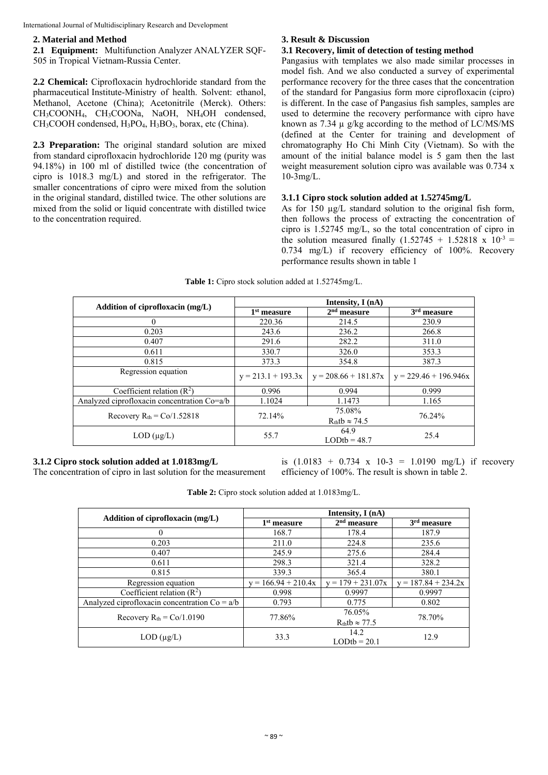International Journal of Multidisciplinary Research and Development

#### **2. Material and Method**

**2.1 Equipment:** Multifunction Analyzer ANALYZER SQF-505 in Tropical Vietnam-Russia Center.

**2.2 Chemical:** Ciprofloxacin hydrochloride standard from the pharmaceutical Institute-Ministry of health. Solvent: ethanol, Methanol, Acetone (China); Acetonitrile (Merck). Others: CH3COONH4, CH3COONa, NaOH, NH4OH condensed,  $CH<sub>3</sub>COOH$  condensed,  $H<sub>3</sub>PO<sub>4</sub>$ ,  $H<sub>3</sub>BO<sub>3</sub>$ , borax, etc (China).

**2.3 Preparation:** The original standard solution are mixed from standard ciprofloxacin hydrochloride 120 mg (purity was 94.18%) in 100 ml of distilled twice (the concentration of cipro is 1018.3 mg/L) and stored in the refrigerator. The smaller concentrations of cipro were mixed from the solution in the original standard, distilled twice. The other solutions are mixed from the solid or liquid concentrate with distilled twice to the concentration required.

### **3. Result & Discussion**

#### **3.1 Recovery, limit of detection of testing method**

Pangasius with templates we also made similar processes in model fish. And we also conducted a survey of experimental performance recovery for the three cases that the concentration of the standard for Pangasius form more ciprofloxacin (cipro) is different. In the case of Pangasius fish samples, samples are used to determine the recovery performance with cipro have known as  $7.34 \mu$  g/kg according to the method of LC/MS/MS (defined at the Center for training and development of chromatography Ho Chi Minh City (Vietnam). So with the amount of the initial balance model is 5 gam then the last weight measurement solution cipro was available was 0.734 x 10-3mg/L.

#### **3.1.1 Cipro stock solution added at 1.52745mg/L**

As for 150  $\mu$ g/L standard solution to the original fish form, then follows the process of extracting the concentration of cipro is 1.52745 mg/L, so the total concentration of cipro in the solution measured finally  $(1.52745 + 1.52818 \times 10^{-3})$ 0.734 mg/L) if recovery efficiency of 100%. Recovery performance results shown in table 1

| Addition of ciprofloxacin (mg/L)            | Intensity, I (nA)    |                                |                         |  |
|---------------------------------------------|----------------------|--------------------------------|-------------------------|--|
|                                             | $1st$ measure        | $2nd$ measure                  | 3 <sup>rd</sup> measure |  |
| $\theta$                                    | 220.36               | 214.5                          | 230.9                   |  |
| 0.203                                       | 243.6                | 236.2                          | 266.8                   |  |
| 0.407                                       | 291.6                | 282.2                          | 311.0                   |  |
| 0.611                                       | 330.7                | 326.0                          | 353.3                   |  |
| 0.815                                       | 373.3                | 354.8                          | 387.3                   |  |
| Regression equation                         | $y = 213.1 + 193.3x$ | $y = 208.66 + 181.87x$         | $y = 229.46 + 196.946x$ |  |
| Coefficient relation $(R^2)$                | 0.996                | 0.994                          | 0.999                   |  |
| Analyzed ciprofloxacin concentration Co=a/b | 1.1024               | 1.1473                         | 1.165                   |  |
| Recovery $R_{th} = Co/1.52818$              | 72.14%               | 75.08%<br>$Rthtb \approx 74.5$ | 76.24%                  |  |
| $LOD$ ( $\mu$ g/L)                          | 55.7                 | 64.9<br>$LODth = 48.7$         | 25.4                    |  |

**Table 1:** Cipro stock solution added at 1.52745mg/L.

## **3.1.2 Cipro stock solution added at 1.0183mg/L**

The concentration of cipro in last solution for the measurement

is  $(1.0183 + 0.734 \times 10-3 = 1.0190 \text{ mg/L})$  if recovery efficiency of 100%. The result is shown in table 2.

| Table 2: Cipro stock solution added at 1.0183mg/L. |
|----------------------------------------------------|
|----------------------------------------------------|

| Addition of ciprofloxacin (mg/L)                | Intensity, $I(nA)$    |                                   |                         |  |
|-------------------------------------------------|-----------------------|-----------------------------------|-------------------------|--|
|                                                 | $1st$ measure         | $2nd$ measure                     | 3 <sup>rd</sup> measure |  |
| 0                                               | 168.7                 | 178.4                             | 187.9                   |  |
| 0.203                                           | 211.0                 | 224.8                             | 235.6                   |  |
| 0.407                                           | 245.9                 | 275.6                             | 284.4                   |  |
| 0.611                                           | 298.3                 | 321.4                             | 328.2                   |  |
| 0.815                                           | 339.3                 | 365.4                             | 380.1                   |  |
| Regression equation                             | $y = 166.94 + 210.4x$ | $y = 179 + 231.07x$               | $y = 187.84 + 234.2x$   |  |
| Coefficient relation $(R2)$                     | 0.998                 | 0.9997                            | 0.9997                  |  |
| Analyzed ciprofloxacin concentration $Co = a/b$ | 0.793                 | 0.775                             | 0.802                   |  |
| Recovery $R_{th} = Co/1.0190$                   | 77.86%                | 76.05%<br>$R_{th}tb \approx 77.5$ | 78.70%                  |  |
| $LOD$ ( $\mu$ g/L)                              | 33.3                  | 14.2<br>$LODtb = 20.1$            | 12.9                    |  |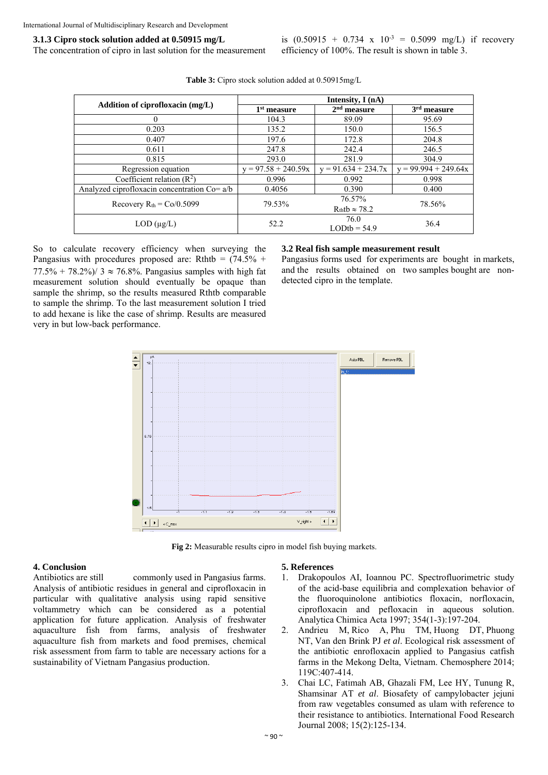#### **3.1.3 Cipro stock solution added at 0.50915 mg/L**

The concentration of cipro in last solution for the measurement

is  $(0.50915 + 0.734 \times 10^{-3} = 0.5099 \text{ mg/L})$  if recovery efficiency of 100%. The result is shown in table 3.

| Addition of ciprofloxacin (mg/L)             | Intensity, I (nA)     |                                |                        |  |
|----------------------------------------------|-----------------------|--------------------------------|------------------------|--|
|                                              | $1st$ measure         | $2nd$ measure                  | $3rd$ measure          |  |
|                                              | 104.3                 | 89.09                          | 95.69                  |  |
| 0.203                                        | 135.2                 | 150.0                          | 156.5                  |  |
| 0.407                                        | 197.6                 | 172.8                          | 204.8                  |  |
| 0.611                                        | 247.8                 | 242.4                          | 246.5                  |  |
| 0.815                                        | 293.0                 | 281.9                          | 304.9                  |  |
| Regression equation                          | $y = 97.58 + 240.59x$ | $y = 91.634 + 234.7x$          | $y = 99.994 + 249.64x$ |  |
| Coefficient relation $(R2)$                  | 0.996                 | 0.992                          | 0.998                  |  |
| Analyzed ciprofloxacin concentration Co= a/b | 0.4056                | 0.390                          | 0.400                  |  |
| Recovery $R_{th} = Co/0.5099$                | 79.53%                | 76.57%<br>$Rthtb \approx 78.2$ | 78.56%                 |  |
| $LOD(\mu g/L)$                               | 52.2                  | 76.0<br>$LODtb = 54.9$         | 36.4                   |  |

**Table 3:** Cipro stock solution added at 0.50915mg/L

So to calculate recovery efficiency when surveying the Pangasius with procedures proposed are: Rthtb =  $(74.5\% +$  $77.5\% + 78.2\%$  /  $3 \approx 76.8\%$ . Pangasius samples with high fat measurement solution should eventually be opaque than sample the shrimp, so the results measured Rthtb comparable to sample the shrimp. To the last measurement solution I tried to add hexane is like the case of shrimp. Results are measured very in but low-back performance.

#### **3.2 Real fish sample measurement result**

Pangasius forms used for experiments are bought in markets, and the results obtained on two samples bought are nondetected cipro in the template.



**Fig 2:** Measurable results cipro in model fish buying markets.

# **4. Conclusion**

Antibiotics are still commonly used in Pangasius farms. Analysis of antibiotic residues in general and ciprofloxacin in particular with qualitative analysis using rapid sensitive voltammetry which can be considered as a potential application for future application. Analysis of freshwater aquaculture fish from farms, analysis of freshwater aquaculture fish from markets and food premises, chemical risk assessment from farm to table are necessary actions for a sustainability of Vietnam Pangasius production.

#### **5. References**

- 1. Drakopoulos AI, Ioannou PC. Spectrofluorimetric study of the acid-base equilibria and complexation behavior of the fluoroquinolone antibiotics floxacin, norfloxacin, ciprofloxacin and pefloxacin in aqueous solution. Analytica Chimica Acta 1997; 354(1-3):197-204.
- 2. Andrieu M, Rico A, Phu TM, Huong DT, Phuong NT, Van den Brink PJ *et al*. Ecological risk assessment of the antibiotic enrofloxacin applied to Pangasius catfish farms in the Mekong Delta, Vietnam. Chemosphere 2014; 119C:407-414.
- 3. Chai LC, Fatimah AB, Ghazali FM, Lee HY, Tunung R, Shamsinar AT *et al*. Biosafety of campylobacter jejuni from raw vegetables consumed as ulam with reference to their resistance to antibiotics. International Food Research Journal 2008; 15(2):125-134.